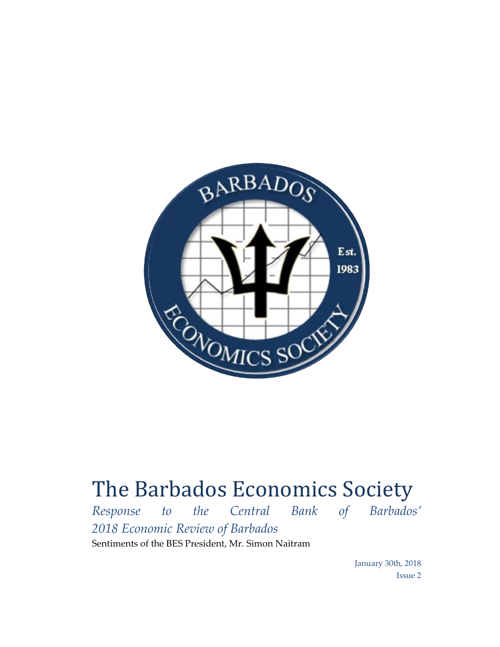

## The Barbados Economics Society

*Response to the Central Bank of Barbados' 2018 Economic Review of Barbados* Sentiments of the BES President, Mr. Simon Naitram

> January 30th, 2018 Issue 2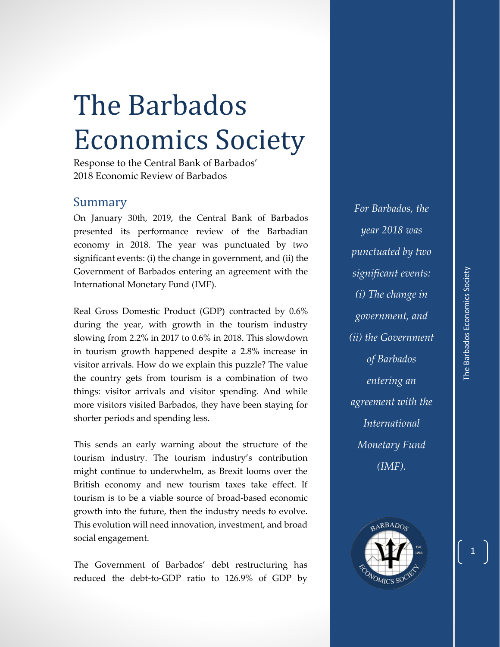## The Barbados Economics Society

Response to the Central Bank of Barbados' 2018 Economic Review of Barbados

## Summary

On January 30th, 2019, the Central Bank of Barbados presented its performance review of the Barbadian economy in 2018. The year was punctuated by two significant events: (i) the change in government, and (ii) the Government of Barbados entering an agreement with the International Monetary Fund (IMF).

Real Gross Domestic Product (GDP) contracted by 0.6% during the year, with growth in the tourism industry slowing from 2.2% in 2017 to 0.6% in 2018. This slowdown in tourism growth happened despite a 2.8% increase in visitor arrivals. How do we explain this puzzle? The value the country gets from tourism is a combination of two things: visitor arrivals and visitor spending. And while more visitors visited Barbados, they have been staying for shorter periods and spending less.

This sends an early warning about the structure of the tourism industry. The tourism industry's contribution might continue to underwhelm, as Brexit looms over the British economy and new tourism taxes take effect. If tourism is to be a viable source of broad-based economic growth into the future, then the industry needs to evolve. This evolution will need innovation, investment, and broad social engagement.

The Government of Barbados' debt restructuring has reduced the debt-to-GDP ratio to 126.9% of GDP by

*For Barbados, the year 2018 was punctuated by two significant events: (i) The change in government, and (ii) the Government of Barbados entering an agreement with the International Monetary Fund (IMF).*